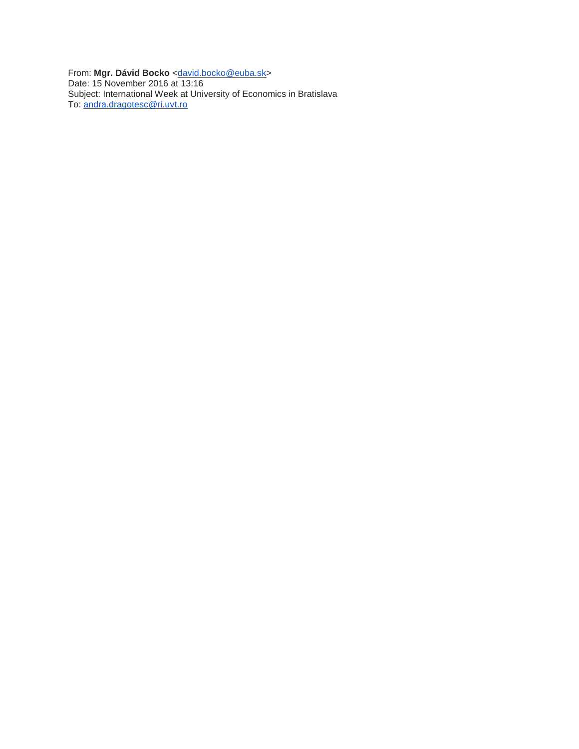From: Mgr. Dávid Bocko [<david.bocko@euba.sk>](mailto:david.bocko@euba.sk) Date: 15 November 2016 at 13:16 Subject: International Week at University of Economics in Bratislava To: [andra.dragotesc@ri.uvt.ro](mailto:andra.dragotesc@ri.uvt.ro)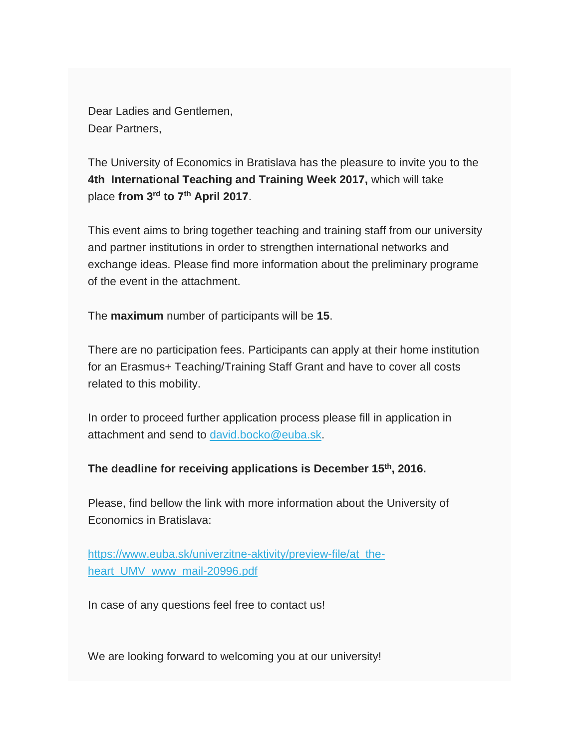Dear Ladies and Gentlemen, Dear Partners,

The University of Economics in Bratislava has the pleasure to invite you to the **4th International Teaching and Training Week 2017,** which will take place **from 3rd to 7th April 2017**.

This event aims to bring together teaching and training staff from our university and partner institutions in order to strengthen international networks and exchange ideas. Please find more information about the preliminary programe of the event in the attachment.

The **maximum** number of participants will be **15**.

There are no participation fees. Participants can apply at their home institution for an Erasmus+ Teaching/Training Staff Grant and have to cover all costs related to this mobility.

In order to proceed further application process please fill in application in attachment and send to [david.bocko@euba.sk.](mailto:david.bocko@euba.sk)

## **The deadline for receiving applications is December 15th, 2016.**

Please, find bellow the link with more information about the University of Economics in Bratislava:

[https://www.euba.sk/univerzitne-aktivity/preview-file/at\\_the](http://maurit.us13.list-manage.com/track/click?u=80ab8a49d22f1f0d429f54a65&id=5c9b5ce225&e=79dccfeafb)[heart\\_UMV\\_www\\_mail-20996.pdf](http://maurit.us13.list-manage.com/track/click?u=80ab8a49d22f1f0d429f54a65&id=5c9b5ce225&e=79dccfeafb)

In case of any questions feel free to contact us!

We are looking forward to welcoming you at our university!